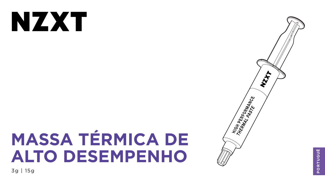# NZXT

## **MASSA TÉRMICA DE ALTO DESEMPENHO** 3g | 15g



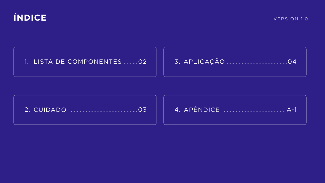

## 1. LISTA DE COMPONENTES ......... 02

#### 





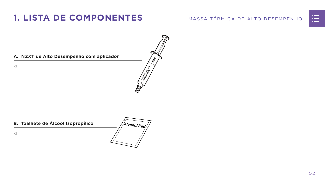#### MASSA TÉRMICA DE ALTO DESEMPENHO





#### **A. NZXT de Alto Desempenho com aplicador**

x1

## <span id="page-2-0"></span>**1. LISTA DE COMPONENTES**

#### **B. Toalhete de Álcool Isopropílico**



x1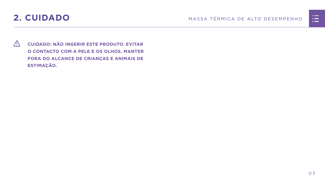

<span id="page-3-0"></span>

 **CUIDADO: NÃO INGERIR ESTE PRODUTO. EVITAR O CONTACTO COM A PELE E OS OLHOS. MANTER FORA DO ALCANCE DE CRIANÇAS E ANIMAIS DE ESTIMAÇÃO.**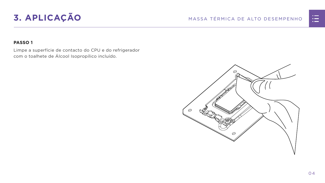## <span id="page-4-0"></span>**3. APLICAÇÃO** MASSA TÉRMICA DE ALTO DESEMPENHO

#### **PASSO 1**

Limpe a superfície de contacto do CPU e do refrigerador com o toalhete de Álcool Isopropílico incluído.



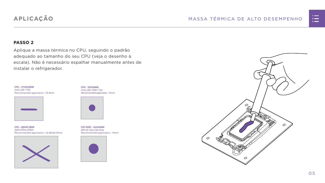



#### **PASSO 2**

Aplique a massa térmica no CPU, seguindo o padrão adequado ao tamanho do seu CPU (veja o desenho à escala). Não é necessário espalhar manualmente antes de instalar o refrigerador.

### **APLICAÇÃO**

**CPU - 35X35MM** Intel LGA 1200/115x Recommended application : 10mm



**CPU SIZE - 40X40MM** AM4 & Intel LGA 20xx Recommended application : 15mm



**CPU - 68X50.5MM** AMD STR4/sTRX4 Recommended application : 43.68x26.18mm



**CPU - 37.5X45MM** Intel LGA 1700 Recommended application : 25.8mm

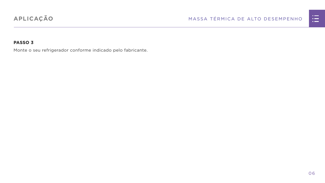

#### **PASSO 3**

Monte o seu refrigerador conforme indicado pelo fabricante.

## **APLICAÇÃO**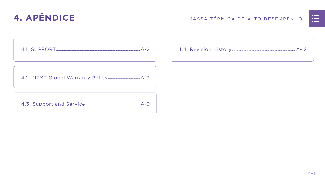

<span id="page-7-0"></span>

[4.2 NZXT Global Warranty Policy................................](#page-9-0) A-3

[4.3 Support and Service.......................................................A-9](#page-15-0)



|  | <u>n in de la</u>                                                                                                     |  |
|--|-----------------------------------------------------------------------------------------------------------------------|--|
|  | <u>ra masa</u>                                                                                                        |  |
|  | <u>a shekara ta 1989, a shekara ta 1989, a shekara ta 1989, a shekara ta 1989, a shekara ta 1989, a shekara ta 19</u> |  |
|  |                                                                                                                       |  |
|  |                                                                                                                       |  |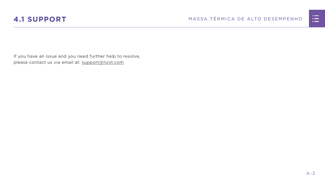



<span id="page-8-0"></span>If you have an issue and you need further help to resolve, please contact us via email at: support@nzxt.com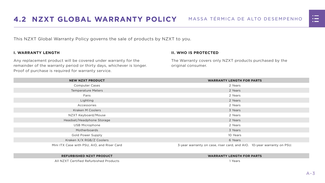



<span id="page-9-0"></span>This NZXT Global Warranty Policy governs the sale of products by NZXT to you.

#### **I. WARRANTY LENGTH**

Any replacement product will be covered under warranty for the remainder of the warranty period or thirty days, whichever is longer. Proof of purchase is required for warranty service.

#### **II. WHO IS PROTECTED**

The Warranty covers only NZXT products purchased by the original consumer.

| <b>NEW NZXT PRODUCT</b>                     | <b>WARRANTY LENGTH FOR PARTS</b>                                       |  |  |
|---------------------------------------------|------------------------------------------------------------------------|--|--|
| <b>Computer Cases</b>                       | 2 Years                                                                |  |  |
| <b>Temperature Meters</b>                   | 2 Years                                                                |  |  |
| Fans                                        | 2 Years                                                                |  |  |
| Lighting                                    | 2 Years                                                                |  |  |
| Accessories                                 | 2 Years                                                                |  |  |
| <b>Kraken M Coolers</b>                     | 3 Years                                                                |  |  |
| NZXT Keyboard/Mouse                         | 2 Years                                                                |  |  |
| Headset/Headphone Storage                   | 2 Years                                                                |  |  |
| <b>USB Microphone</b>                       | 2 Years                                                                |  |  |
| Motherboards                                | 3 Years                                                                |  |  |
| <b>Gold Power Supply</b>                    | 10 Years                                                               |  |  |
| Kraken X/X RGB/Z Coolers                    | 6 Years                                                                |  |  |
| Mini ITX Case with PSU, AIO, and Riser Card | 3-year warranty on case, riser card, and AIO. 10-year warranty on PSU. |  |  |

#### **REFURBISHED NZXT PRODUCT WARRANTY LENGTH FOR PARTS**





All NZXT Certified Refurbished Products 1 Years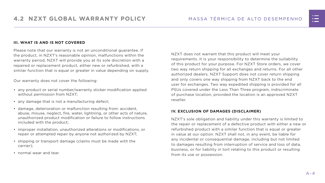#### **III. WHAT IS AND IS NOT COVERED**

Please note that our warranty is not an unconditional guarantee. If the product, in NZXT's reasonable opinion, malfunctions within the warranty period, NZXT will provide you at its sole discretion with a repaired or replacement product, either new or refurbished, with a similar function that is equal or greater in value depending on supply.

Our warranty does not cover the following:

- any product or serial number/warranty sticker modification applied without permission from NZXT;
- any damage that is not a manufacturing defect;
- damage, deterioration or malfunction resulting from: accident, abuse, misuse, neglect, fire, water, lightning, or other acts of nature, unauthorized product modification or failure to follow instructions included with the product;
- improper installation, unauthorized alterations or modifications, or repair or attempted repair by anyone not authorized by NZXT;
- shipping or transport damage (claims must be made with the carrier);
- normal wear and tear.

NZXT does not warrant that this product will meet your requirements. It is your responsibility to determine the suitability of this product for your purpose. For NZXT Store orders, we cover two way return shipping for all exchanges and returns. For all other authorized dealers, NZXT Support does not cover return shipping and only covers one way shipping from NZXT back to the end user for exchanges. Two way expedited shipping is provided for all PSUs covered under the Less Than Three program, indiscriminate of purchase location, provided the location is an approved NZXT reseller.

#### **IV. EXCLUSION OF DAMAGES (DISCLAIMER)**

NZXT's sole obligation and liability under this warranty is limited to the repair or replacement of a defective product with either a new or refurbished product with a similar function that is equal or greater in value at our option. NZXT shall not, in any event, be liable for any incidental or consequential damage, including but not limited to damages resulting from interruption of service and loss of data, business, or for liability in tort relating to this product or resulting from its use or possession.

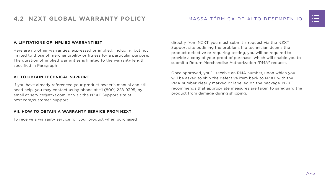#### **V. LIMITATIONS OF IMPLIED WARRANTIEST**

Here are no other warranties, expressed or implied, including but not limited to those of merchantability or fitness for a particular purpose. The duration of implied warranties is limited to the warranty length specified in Paragraph I.

#### **VI. TO OBTAIN TECHNICAL SUPPORT**

If you have already referenced your product owner's manual and still need help, you may contact us by phone at +1 (800) 228-9395, by email at [service@nzxt.com](mailto:service%40nzxt.com?subject=), or visit the NZXT Support site at [nzxt.com/customer-support.](http://nzxt.com/customer-support)

#### **VII. HOW TO OBTAIN A WARRANTY SERVICE FROM NZXT**

To receive a warranty service for your product when purchased

directly from NZXT, you must submit a request via the NZXT Support site outlining the problem. If a technician deems the product defective or requiring testing, you will be required to provide a copy of your proof of purchase, which will enable you to submit a Return Merchandise Authorization "RMA" request.

Once approved, you`ll receive an RMA number, upon which you will be asked to ship the defective item back to NZXT with the RMA number clearly marked or labelled on the package. NZXT recommends that appropriate measures are taken to safeguard the product from damage during shipping.

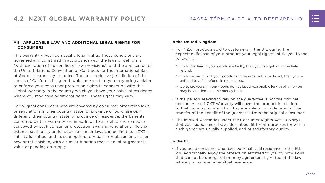#### **VIII. APPLICABLE LAW AND ADDITIONAL LEGAL RIGHTS FOR CONSUMERS**

This warranty gives you specific legal rights. These conditions are governed and construed in accordance with the laws of California (with exception of its conflict of law provisions), and the application of the United Nations Convention of Contracts for the International Sale of Goods is expressly excluded. The non-exclusive jurisdiction of the courts of California is agreed, which means that you may bring a claim to enforce your consumer protection rights in connection with this Global Warranty in the country which you have your habitual residence where you may have additional rights. These rights may vary.

For original consumers who are covered by consumer protection laws or regulations in their country, state, or province of purchase or, if different, their country, state, or province of residence, the benefits conferred by this warranty are in addition to all rights and remedies conveyed by such consumer protection laws and regulations. To the extent that liability under such consumer laws can be limited, NZXT's liability is limited, and its sole option, to repair or replacement, either new or refurbished, with a similar function that is equal or greater in value depending on supply.

#### **In the United Kingdom:**

- For NZXT products sold to customers in the UK, during the expected lifespan of your product your legal rights entitle you to the following:
	- > Up to 30 days: if your goods are faulty, then you can get an immediate refund.
	- > Up to six months: if your goods can't be repaired or replaced, then you're entitled to a full refund, in most cases.
	- > Up to six years: if your goods do not last a reasonable length of time you may be entitled to some money back.
- If the person seeking to rely on the guarantee is not the original consumer, the NZXT Warranty will cover the product in relation to that person provided that they are able to provide proof of the transfer of the benefit of the guarantee from the original consumer.
- The implied warranties under the Consumer Rights Act 2015 says that your goods must be as described, fit for all purposes for which such goods are usually supplied, and of satisfactory quality.

#### **In the EU:**

• If you are a consumer and have your habitual residence in the EU, you additionally enjoy the protection afforded to you by provisions that cannot be derogated from by agreement by virtue of the law where you have your habitual residence.

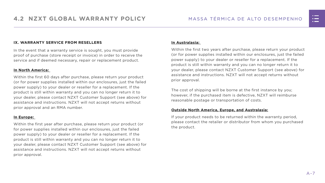#### **IX. WARRANTY SERVICE FROM RESELLERS**

In the event that a warranty service is sought, you must provide proof of purchase (store receipt or invoice) in order to receive the service and if deemed necessary, repair or replacement product.

#### **In North America:**

Within the first 60 days after purchase, please return your product (or for power supplies installed within our enclosures, just the failed power supply) to your dealer or reseller for a replacement. If the product is still within warranty and you can no longer return it to your dealer, please contact NZXT Customer Support (see above) for assistance and instructions. NZXT will not accept returns without prior approval and an RMA number.

#### **In Europe:**

Within the first year after purchase, please return your product (or for power supplies installed within our enclosures, just the failed power supply) to your dealer or reseller for a replacement. If the product is still within warranty and you can no longer return it to your dealer, please contact NZXT Customer Support (see above) for assistance and instructions. NZXT will not accept returns without prior approval.

#### **In Australasia:**

Within the first two years after purchase, please return your product (or for power supplies installed within our enclosures, just the failed power supply) to your dealer or reseller for a replacement. If the product is still within warranty and you can no longer return it to your dealer, please contact NZXT Customer Support (see above) for assistance and instructions. NZXT will not accept returns without prior approval.

The cost of shipping will be borne at the first instance by you; however, if the purchased item is defective, NZXT will reimburse reasonable postage or transportation of costs.

#### **Outside North America, Europe, and Australasia:**

If your product needs to be returned within the warranty period, please contact the retailer or distributor from whom you purchased the product.

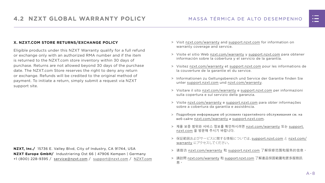#### MASSA TÉRMICA DE ALTO DESEMPENHO

#### **X. NZXT.COM STORE RETURNS/EXCHANGE POLICY**

Eligible products under this NZXT Warranty qualify for a full refund or exchange only with an authorized RMA number and if the item is returned to the NZXT.com store inventory within 30 days of purchase. Returns are not allowed beyond 30 days of the purchase date. The NZXT.com Store reserves the right to deny any return or exchange. Refunds will be credited to the original method of payment. To initiate a return, simply submit a request via NZXT support site.

- > Visit [nzxt.com/warranty](http://nzxt.com/warranty) and [support.nzxt.com](http://support.nzxt.com) for information on warranty coverage and service.
- > Visite el sitio Web [nzxt.com/warranty](http://nzxt.com/warranty) y [support.nzxt.com](http://support.nzxt.com) para obtener información sobre la cobertura y el servicio de la garantía.
- > Visitez [nzxt.com/warranty](http://nzxt.com/warranty) et [support.nzxt.com](http://support.nzxt.com) pour les informations de la couverture de la garantie et du service.
- > Informationen zu Geltungsbereich und Service der Garantie finden Sie unter [support.nzxt.com](http://support.nzxt.com) und [nzxt.com/warranty.](http://nzxt.com/warranty)
- > Visitare il sito [nzxt.com/warranty](http://nzxt.com/warranty) e [support.nzxt.com](http://support.nzxt.com) per informazioni sulla copertura e sul servizio della garanzia.
- > Visite [nzxt.com/warranty](http://nzxt.com/warranty) e [support.nzxt.com](http://support.nzxt.com) para obter informações sobre a cobertura da garantia e assistência.
- > Подробную информацию об условиях гарантийного обслуживания см. на веб-сайте [nzxt.com/warranty](http://nzxt.com/warranty) и [support.nzxt.com](http://support.nzxt.com).
- > 제품 보증 범위와 서비스 정보를 확인하시려면 [nzxt.com/warranty](http://nzxt.com/warranty) 또는 [support.](http://support.nzxt.com) [nzxt.com](http://support.nzxt.com) 을 방문해 주시기 바랍니다.
- > 保証範囲およびサービスに関する情報については、[support.nzxt.com](http://support.nzxt.com) と [nzxt.com/](http://nzxt.com/warranty) [warranty](http://nzxt.com/warranty) にアクセスしてください。
- > 请造访 nzxt.com/warranty 和 [support.nzxt.com](http://support.nzxt.com) 了解保修范围和服务的信息。
- > 請訪問 [nzxt.com/warranty](http://nzxt.com/warranty) 和 [support.nzxt.com](http://support.nzxt.com) 了解產品保固範圍和更多服務訊 息。



**NZXT, Inc./** 15736 E. Valley Blvd, City of Industry, CA 91744, USA **NZXT Europe GmbH/** Industriering Ost 66 | 47906 Kempen | Germany +1 (800) 228-9395 / service@nzxt.com / [support@nzxt.com](mailto:support%40nzxt.com?subject=) / NZX[T.com](http://nzxt.com)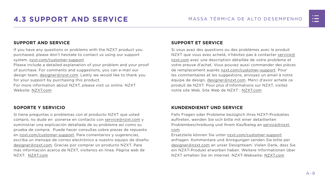

## <span id="page-15-0"></span>**4.3 SUPPORT AND SERVICE** MASSA TÉRMICA DE ALTO DESEMPENHO

#### **SUPPORT AND SERVICE**

If you have any questions or problems with the NZXT product you purchased, please don't hesitate to contact us using our support system. [nzxt.com/customer-support](http://nzxt.com/customer-support)

Please include a detailed explanation of your problem and your proof of purchase. For comments and suggestions, you can e-mail our design team, [designer@nzxt.com.](mailto:designer%40nzxt.com?subject=) Lastly we would like to thank you for your support by purchasing this product.

For more information about NZXT, please visit us online. NZXT Website: NZX[T.com](http://nzxt.com)

#### **SOPORTE Y SERVICIO**

Si tiene preguntas o problemas con el producto NZXT que usted compró, no dude en ponerse en contacto con [service@nzxt.com](mailto:service%40nzxt.com?subject=) y suministrar una explicación detallada de su problema así como su prueba de compra. Puede hacer consultas sobre piezas de repuesto en [nzxt.com/customer-support.](http://nzxt.com/customer-support) Para comentarios y sugerencias, escriba un mensaje de correo electrónico a nuestro equipo de diseño: [designer@nzxt.com.](mailto:designer%40nzxt.com?subject=) Gracias por comprar un producto NZXT. Para más información acerca de NZXT, visítenos en línea. Página web de NZXT: NZX[T.com](http://nzxt.com)

#### **SUPPORT ET SERVICE**

Si vous avez des questions ou des problèmes avec le produit NZXT que vous avez acheté, n'hésitez pas à contacter service@ nzxt.com avec une description détaillée de votre problème et votre preuve d'achat. Vous pouvez aussi commander des pièces de remplacement auprès [nzxt.com/customer-support.](http://nzxt.com/customer-support) Pour les commentaires et les suggestions, envoyez un email à notre équipe de design, [designer@nzxt.com.](mailto:designer%40nzxt.com?subject=) Merci d'avoir acheté ce produit de NZXT. Pour plus d'informations sur NZXT, visitez notre site Web. Site Web de NZXT : NZX[T.com](http://nzxt.com)

#### **KUNDENDIENST UND SERVICE**

Falls Fragen oder Probleme bezüglich Ihres NZXT-Produktes auftreten, wenden Sie sich bitte mit einer detaillierten Problembeschreibung und Ihrem Kaufbeleg an [service@nzxt.](mailto:service%40nzxt.com?subject=) [com](mailto:service%40nzxt.com?subject=).

Ersatzteile können Sie unter [nzxt.com/customer-support](http://nzxt.com/customer-support) anfragen. Kommentare und Anregungen senden Sie bitte per [designer@nzxt.com](mailto:designer%40nzxt.com?subject=) an unser Designteam. Vielen Dank, dass Sie ein NZXT-Produkt erworben haben. Weitere Informationen über NZXT erhalten Sie im Internet. NZXT-Webseite: NZX[T.com](http://nzxt.com)

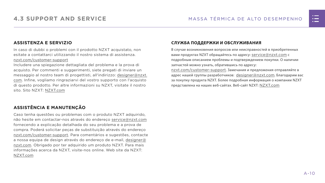#### **ASSISTENZA E SERVIZIO**

In caso di dubbi o problemi con il prodotto NZXT acquistato, non esitate a contattarci utilizzando il nostro sistema di assistenza. [nzxt.com/customer-support](http://nzxt.com/customer-support)

Includere una spiegazione dettagliata del problema e la prova di acquisto. Per commenti e suggerimenti, siete pregati di inviare un messaggio al nostro team di progettisti, all'indirizzo: [designer@nzxt.](mailto:designer%40nzxt.com?subject=) [com](mailto:designer%40nzxt.com?subject=). Infine, vogliamo ringraziarvi del vostro supporto con l'acquisto di questo prodotto. Per altre informazioni su NZXT, visitate il nostro sito. Sito NZXT: NZX[T.com](http://nzxt.com)

В случае возникновения вопросов или неисправностей в приобретенных вами продуктах NZXT обращайтесь по адресу: [service@nzxt.com](mailto:service%40nzxt.com?subject=) с подробным описанием проблемы и подтверждением покупки. О наличии запчастей можно узнать, обратившись по адресу: [nzxt.com/customer-support](http://nzxt.com/customer-support). Замечания и предложения отправляйте в адрес нашей группы разработчиков: [designer@nzxt.com](mailto:designer%40nzxt.com?subject=). Благодарим вас

#### **ASSISTÊNCIA E MANUTENÇÃO**

Caso tenha questões ou problemas com o produto NZXT adquirido, não hesite em contactar-nos através do endereço [service@nzxt.com](mailto:service%40nzxt.com?subject=) fornecendo a explicação detalhada do seu problema e a prova de compra. Poderá solicitar peças de substituição através do endereço [nzxt.com/customer-support.](http://nzxt.com/customer-support) Para comentários e sugestões, contacte a nossa equipa de design através do endereço de e-mail, [designer@](mailto:designer%40nzxt.com?subject=) [nzxt.com.](mailto:designer%40nzxt.com?subject=) Obrigado por ter adquirido um produto NZXT. Para mais informações acerca da NZXT, visite-nos online. Web site da NZXT: NZX[T.com](http://nzxt.com)

#### **СЛУЖБА ПОДДЕРЖКИ И ОБСЛУЖИВАНИЯ**

за покупку продукта NZXT. Более подробная информация о компании NZXT представлена на наших веб-сайтах. Веб-сайт NZXT: NZX[T.com](http://nzxt.com)

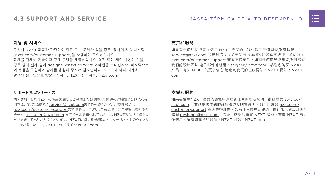

#### **지원 및 서비스**

구입한 NZXT 제품과 관련하여 질문 또는 문제가 있을 경우, 당사의 지원 시스템 ([nzxt.com/customer-support\)](http://nzxt.com/customer-support)을 사용하여 문의하십시오. 문제를 자세히 기술하고 구매 증빙을 제출하십시오. 의견 또는 제안 사항이 잇을 경우 당사 설계 팀에 [designer@nzxt.com](mailto:designer%40nzxt.com?subject=)으로 이메일을 보내십시오. 마지막으로 이 제품을 구입하여 당사를 응원해 주셔서 감사합니다. NZXT에 대해 자세히 알려면 온라인으로 방문하십시오. NZXT 웹사이트: NZX[T.com](http://nzxt.com)

#### **サポートおよびサービス**

購入されましたNZXTの製品に関するご質問または問題は、問題の詳細および購入の証 明を添えて、ご遠慮なく[service@nzxt.com](mailto:service%40nzxt.com?subject=)までご連絡ください。交換部品は [nzxt.com/customer-support](http://nzxt.com/customer-support)までお尋ねください。ご意見およびご提案は弊社設計 チーム、[designer@nzxt.com](mailto:designer%40nzxt.com?subject=) までメールを送信してください。NZXT製品をご購入い ただきましてありがとうございます。 NZXTに関する詳細は、インターネット上のウェブサ イトをご覧ください。NZXT ウェブサイト: NZX[T.com](http://nzxt.com)

#### **支持和服务**

如果有任何疑问或者在使用 NZXT 产品的过程中遇到任何问题,欢迎联络 [service@nzxt.com,](mailto:service%40nzxt.com?subject=)联络时请提供关于问题的详细说明及购买凭证。您可以向 [nzxt.com/customer-support](http://nzxt.com/customer-support) 查询更换部件。如有任何意见或建议,欢迎致信 我们的设计团队,电子邮件地址是 designer@nzxt.com。感谢您购买 NZXT 产品。有关 NZXT 的更多信息,请造访我们的在线网站。NZXT 网站:NZX[T.](http://nzxt.com) [com](http://nzxt.com)

#### **支援和服務**

如果在使用NZXT 產品的過程中有遇到任何問題或疑問,歡迎聯繫 [service@](mailto:service%40nzxt.com?subject=) [nzxt.com](mailto:service%40nzxt.com?subject=), 並請提供問題的詳細敘述及購買證明。您可以透過 [nzxt.com/](http://nzxt.com/customer-support) [customer-support](http://nzxt.com/customer-support) 查詢更換部件。如有任何意見或建議,歡迎來信與設計團隊 聯繫 designer@nzxt.com。最後,感謝您購買 NZXT 產品。有關 NZXT 的更 多信息,請訪問我們的網站。NZXT 網站: NZXT.com